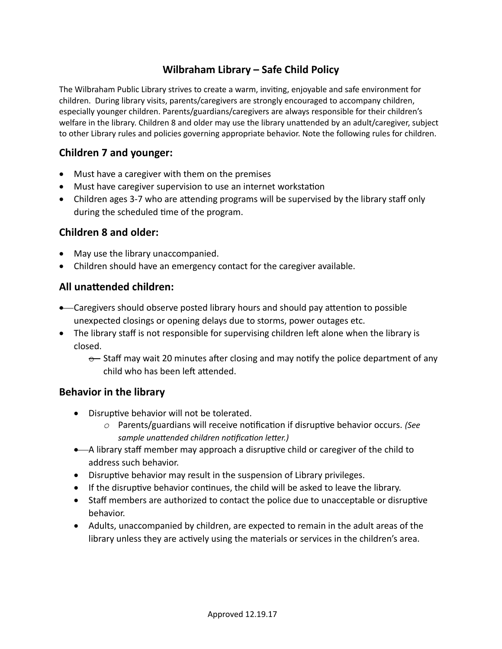# **Wilbraham Library – Safe Child Policy**

The Wilbraham Public Library strives to create a warm, inviting, enjoyable and safe environment for children. During library visits, parents/caregivers are strongly encouraged to accompany children, especially younger children. Parents/guardians/caregivers are always responsible for their children's welfare in the library. Children 8 and older may use the library unattended by an adult/caregiver, subject to other Library rules and policies governing appropriate behavior. Note the following rules for children.

### **Children 7 and younger:**

- Must have a caregiver with them on the premises
- Must have caregiver supervision to use an internet workstation
- Children ages 3-7 who are attending programs will be supervised by the library staff only during the scheduled time of the program.

### **Children 8 and older:**

- May use the library unaccompanied.
- Children should have an emergency contact for the caregiver available.

### **All unattended children:**

- Caregivers should observe posted library hours and should pay attention to possible unexpected closings or opening delays due to storms, power outages etc.
- The library staff is not responsible for supervising children left alone when the library is closed.
	- $\epsilon$  Staff may wait 20 minutes after closing and may notify the police department of any child who has been left attended.

#### **Behavior in the library**

- Disruptive behavior will not be tolerated.
	- *o* Parents/guardians will receive notification if disruptive behavior occurs. *(See sample unattended children notification letter.)*
- A library staff member may approach a disruptive child or caregiver of the child to address such behavior.
- Disruptive behavior may result in the suspension of Library privileges.
- If the disruptive behavior continues, the child will be asked to leave the library.
- Staff members are authorized to contact the police due to unacceptable or disruptive behavior.
- Adults, unaccompanied by children, are expected to remain in the adult areas of the library unless they are actively using the materials or services in the children's area.